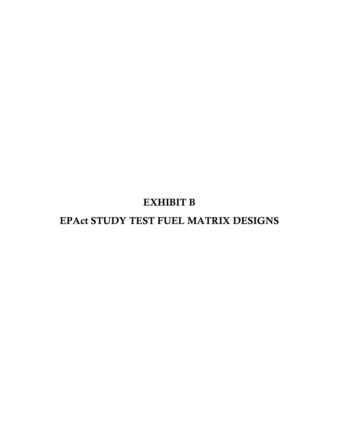## EXHIBIT B

# EPAct STUDY TEST FUEL MATRIX DESIGNS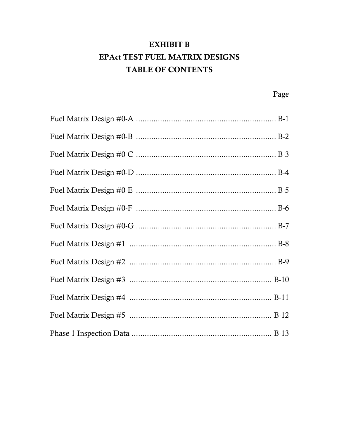### **EXHIBIT B EPAct TEST FUEL MATRIX DESIGNS TABLE OF CONTENTS**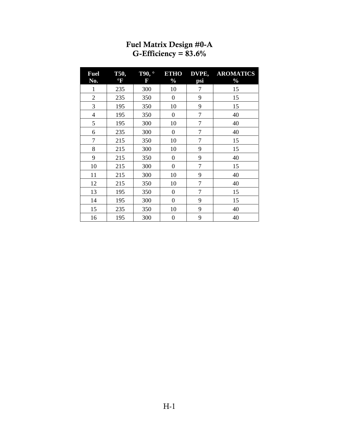<span id="page-2-0"></span>

| <b>Fuel</b><br>No. | <b>T50,</b><br>$\mathrm{^{\circ}F}$ | Т90,<br>F | <b>ETHO</b><br>$\frac{0}{0}$ | DVPE,<br>psi   | <b>AROMATICS</b><br>$\frac{0}{0}$ |
|--------------------|-------------------------------------|-----------|------------------------------|----------------|-----------------------------------|
| $\mathbf{1}$       | 235                                 | 300       | 10                           | 7              | 15                                |
| $\overline{2}$     | 235                                 | 350       | $\boldsymbol{0}$             | 9              | 15                                |
| 3                  | 195                                 | 350       | 10                           | 9              | 15                                |
| 4                  | 195                                 | 350       | $\boldsymbol{0}$             | $\overline{7}$ | 40                                |
| 5                  | 195                                 | 300       | 10                           | $\overline{7}$ | 40                                |
| 6                  | 235                                 | 300       | $\boldsymbol{0}$             | $\overline{7}$ | 40                                |
| 7                  | 215                                 | 350       | 10                           | $\overline{7}$ | 15                                |
| 8                  | 215                                 | 300       | 10                           | 9              | 15                                |
| 9                  | 215                                 | 350       | $\boldsymbol{0}$             | 9              | 40                                |
| 10                 | 215                                 | 300       | $\boldsymbol{0}$             | $\overline{7}$ | 15                                |
| 11                 | 215                                 | 300       | 10                           | 9              | 40                                |
| 12                 | 215                                 | 350       | 10                           | $\overline{7}$ | 40                                |
| 13                 | 195                                 | 350       | $\boldsymbol{0}$             | $\overline{7}$ | 15                                |
| 14                 | 195                                 | 300       | $\boldsymbol{0}$             | 9              | 15                                |
| 15                 | 235                                 | 350       | 10                           | 9              | 40                                |
| 16                 | 195                                 | 300       | $\boldsymbol{0}$             | 9              | 40                                |

#### Fuel Matrix Design #0-A G-Efficiency =  $83.6\%$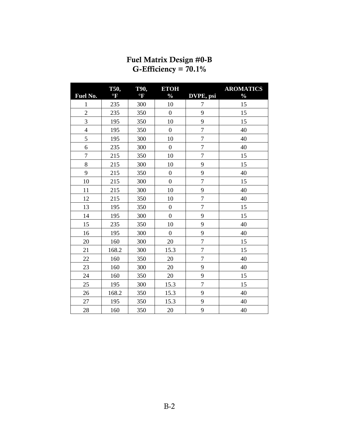<span id="page-3-0"></span>

|                | T50,                    | T90,           | <b>ETOH</b>      |                  | <b>AROMATICS</b> |
|----------------|-------------------------|----------------|------------------|------------------|------------------|
| Fuel No.       | $\overline{\mathbf{F}}$ | $\mathrm{^oF}$ | $\frac{0}{0}$    | DVPE, psi        | $\frac{1}{2}$    |
| $\mathbf{1}$   | 235                     | 300            | 10               | 7                | 15               |
| $\overline{2}$ | 235                     | 350            | $\boldsymbol{0}$ | 9                | 15               |
| 3              | 195                     | 350            | 10               | 9                | 15               |
| $\overline{4}$ | 195                     | 350            | $\overline{0}$   | $\overline{7}$   | 40               |
| 5              | 195                     | 300            | 10               | $\overline{7}$   | 40               |
| 6              | 235                     | 300            | $\boldsymbol{0}$ | $\boldsymbol{7}$ | 40               |
| $\overline{7}$ | 215                     | 350            | 10               | $\overline{7}$   | 15               |
| 8              | 215                     | 300            | 10               | 9                | 15               |
| 9              | 215                     | 350            | $\boldsymbol{0}$ | 9                | 40               |
| 10             | 215                     | 300            | $\overline{0}$   | $\overline{7}$   | 15               |
| 11             | 215                     | 300            | 10               | 9                | 40               |
| 12             | 215                     | 350            | 10               | $\overline{7}$   | 40               |
| 13             | 195                     | 350            | $\boldsymbol{0}$ | $\boldsymbol{7}$ | 15               |
| 14             | 195                     | 300            | $\overline{0}$   | 9                | 15               |
| 15             | 235                     | 350            | 10               | 9                | 40               |
| 16             | 195                     | 300            | $\boldsymbol{0}$ | 9                | 40               |
| 20             | 160                     | 300            | 20               | $\overline{7}$   | 15               |
| 21             | 168.2                   | 300            | 15.3             | $\overline{7}$   | 15               |
| 22             | 160                     | 350            | 20               | $\overline{7}$   | 40               |
| 23             | 160                     | 300            | 20               | 9                | 40               |
| 24             | 160                     | 350            | 20               | 9                | 15               |
| 25             | 195                     | 300            | 15.3             | $\overline{7}$   | 15               |
| 26             | 168.2                   | 350            | 15.3             | 9                | 40               |
| 27             | 195                     | 350            | 15.3             | 9                | 40               |
| 28             | 160                     | 350            | 20               | 9                | 40               |

#### Fuel Matrix Design #0-B G-Efficiency =  $70.1\%$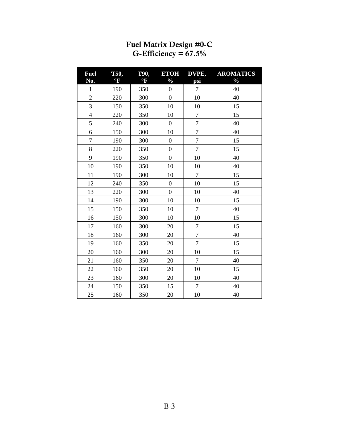<span id="page-4-0"></span>

| <b>Fuel</b><br>No. | T50,<br>$\mathrm{P}$ | <b>T90,</b><br>$\mathrm{P}$ | <b>ETOH</b><br>$\frac{0}{0}$ | DVPE,<br>psi   | <b>AROMATICS</b><br>$\frac{0}{0}$ |
|--------------------|----------------------|-----------------------------|------------------------------|----------------|-----------------------------------|
| $\mathbf{1}$       | 190                  | 350                         | $\boldsymbol{0}$             | $\overline{7}$ | 40                                |
| $\overline{c}$     | 220                  | 300                         | $\boldsymbol{0}$             | 10             | 40                                |
| 3                  | 150                  | 350                         | 10                           | 10             | 15                                |
| $\overline{4}$     | 220                  | 350                         | 10                           | $\overline{7}$ | 15                                |
| 5                  | 240                  | 300                         | $\boldsymbol{0}$             | $\sqrt{ }$     | 40                                |
| 6                  | 150                  | 300                         | 10                           | $\overline{7}$ | 40                                |
| $\overline{7}$     | 190                  | 300                         | $\overline{0}$               | $\overline{7}$ | 15                                |
| 8                  | 220                  | 350                         | $\overline{0}$               | $\overline{7}$ | 15                                |
| 9                  | 190                  | 350                         | $\boldsymbol{0}$             | 10             | 40                                |
| 10                 | 190                  | 350                         | 10                           | 10             | 40                                |
| 11                 | 190                  | 300                         | 10                           | $\tau$         | 15                                |
| 12                 | 240                  | 350                         | $\boldsymbol{0}$             | 10             | 15                                |
| 13                 | 220                  | 300                         | $\overline{0}$               | 10             | 40                                |
| 14                 | 190                  | 300                         | 10                           | 10             | 15                                |
| 15                 | 150                  | 350                         | 10                           | $\tau$         | 40                                |
| 16                 | 150                  | 300                         | 10                           | 10             | 15                                |
| 17                 | 160                  | 300                         | 20                           | $\tau$         | 15                                |
| 18                 | 160                  | 300                         | 20                           | $\sqrt{ }$     | 40                                |
| 19                 | 160                  | 350                         | 20                           | $\overline{7}$ | 15                                |
| 20                 | 160                  | 300                         | 20                           | 10             | 15                                |
| 21                 | 160                  | 350                         | 20                           | $\overline{7}$ | 40                                |
| 22                 | 160                  | 350                         | 20                           | 10             | 15                                |
| 23                 | 160                  | 300                         | 20                           | 10             | 40                                |
| 24                 | 150                  | 350                         | 15                           | $\overline{7}$ | 40                                |
| 25                 | 160                  | 350                         | 20                           | 10             | 40                                |

#### Fuel Matrix Design #0-C G-Efficiency =  $67.5\%$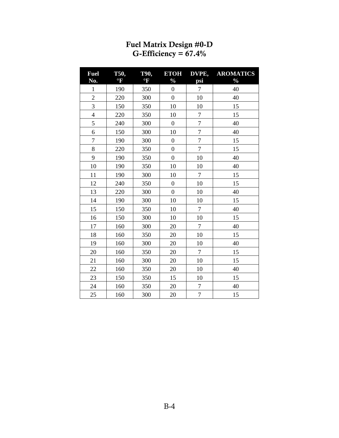<span id="page-5-0"></span>

| <b>Fuel</b><br>No.      | T50,<br>$\mathrm{P}$ | <b>T90,</b><br>$\rm ^{o}F$ | <b>ETOH</b><br>$\frac{0}{0}$ | DVPE,<br>psi     | <b>AROMATICS</b><br>$\frac{0}{0}$ |
|-------------------------|----------------------|----------------------------|------------------------------|------------------|-----------------------------------|
| $\mathbf{1}$            | 190                  | 350                        | $\boldsymbol{0}$             | $\boldsymbol{7}$ | 40                                |
| $\overline{2}$          | 220                  | 300                        | $\overline{0}$               | 10               | 40                                |
| $\overline{3}$          | 150                  | 350                        | 10                           | 10               | 15                                |
| $\overline{\mathbf{4}}$ | 220                  | 350                        | 10                           | $\overline{7}$   | 15                                |
| 5                       | 240                  | 300                        | $\mathbf{0}$                 | $\boldsymbol{7}$ | 40                                |
| 6                       | 150                  | 300                        | 10                           | $\overline{7}$   | 40                                |
| $\overline{7}$          | 190                  | 300                        | $\overline{0}$               | $\overline{7}$   | 15                                |
| 8                       | 220                  | 350                        | $\mathbf{0}$                 | $\overline{7}$   | 15                                |
| 9                       | 190                  | 350                        | $\overline{0}$               | 10               | 40                                |
| 10                      | 190                  | 350                        | 10                           | 10               | 40                                |
| 11                      | 190                  | 300                        | 10                           | $\overline{7}$   | 15                                |
| 12                      | 240                  | 350                        | $\overline{0}$               | 10               | 15                                |
| 13                      | 220                  | 300                        | $\overline{0}$               | 10               | 40                                |
| 14                      | 190                  | 300                        | 10                           | 10               | 15                                |
| 15                      | 150                  | 350                        | 10                           | $\tau$           | 40                                |
| 16                      | 150                  | 300                        | 10                           | 10               | 15                                |
| 17                      | 160                  | 300                        | 20                           | $\tau$           | 40                                |
| 18                      | 160                  | 350                        | 20                           | 10               | 15                                |
| 19                      | 160                  | 300                        | 20                           | 10               | 40                                |
| 20                      | 160                  | 350                        | 20                           | $\tau$           | 15                                |
| 21                      | 160                  | 300                        | 20                           | 10               | 15                                |
| 22                      | 160                  | 350                        | 20                           | 10               | 40                                |
| 23                      | 150                  | 350                        | 15                           | 10               | 15                                |
| 24                      | 160                  | 350                        | 20                           | $\overline{7}$   | 40                                |
| 25                      | 160                  | 300                        | 20                           | $\overline{7}$   | 15                                |

#### Fuel Matrix Design #0-D G-Efficiency =  $67.4\%$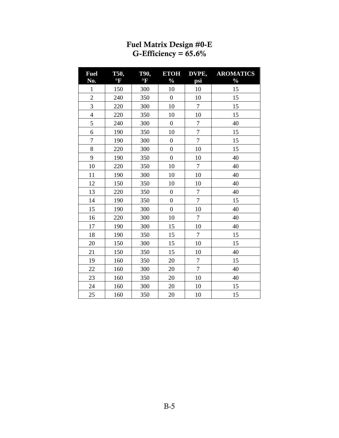<span id="page-6-0"></span>

| <b>Fuel</b><br>No. | T50,<br>$\mathrm{P}$ | <b>T90,</b><br>$\rm ^{o}F$ | <b>ETOH</b><br>$\frac{0}{0}$ | DVPE,<br>psi     | <b>AROMATICS</b><br>$\frac{0}{0}$ |
|--------------------|----------------------|----------------------------|------------------------------|------------------|-----------------------------------|
| $\mathbf 1$        | 150                  | 300                        | 10                           | 10               | 15                                |
| $\overline{c}$     | 240                  | 350                        | $\boldsymbol{0}$             | 10               | 15                                |
| 3                  | 220                  | 300                        | 10                           | $\tau$           | 15                                |
| $\overline{4}$     | 220                  | 350                        | 10                           | 10               | 15                                |
| 5                  | 240                  | 300                        | $\overline{0}$               | $\boldsymbol{7}$ | 40                                |
| 6                  | 190                  | 350                        | 10                           | $\overline{7}$   | 15                                |
| $\overline{7}$     | 190                  | 300                        | $\overline{0}$               | $\overline{7}$   | 15                                |
| 8                  | 220                  | 300                        | $\overline{0}$               | 10               | 15                                |
| 9                  | 190                  | 350                        | $\mathbf{0}$                 | 10               | 40                                |
| 10                 | 220                  | 350                        | 10                           | $\overline{7}$   | 40                                |
| 11                 | 190                  | 300                        | 10                           | 10               | 40                                |
| 12                 | 150                  | 350                        | 10                           | 10               | 40                                |
| 13                 | 220                  | 350                        | $\mathbf{0}$                 | $\overline{7}$   | 40                                |
| 14                 | 190                  | 350                        | $\boldsymbol{0}$             | $\boldsymbol{7}$ | 15                                |
| 15                 | 190                  | 300                        | $\overline{0}$               | 10               | 40                                |
| 16                 | 220                  | 300                        | 10                           | $\overline{7}$   | 40                                |
| 17                 | 190                  | 300                        | 15                           | 10               | 40                                |
| 18                 | 190                  | 350                        | 15                           | $\overline{7}$   | 15                                |
| 20                 | 150                  | 300                        | 15                           | 10               | 15                                |
| 21                 | 150                  | 350                        | 15                           | 10               | 40                                |
| 19                 | 160                  | 350                        | 20                           | $\overline{7}$   | 15                                |
| 22                 | 160                  | 300                        | 20                           | $\overline{7}$   | 40                                |
| 23                 | 160                  | 350                        | 20                           | 10               | 40                                |
| 24                 | 160                  | 300                        | 20                           | 10               | 15                                |
| 25                 | 160                  | 350                        | 20                           | 10               | 15                                |

#### Fuel Matrix Design #0-E G-Efficiency =  $65.6\%$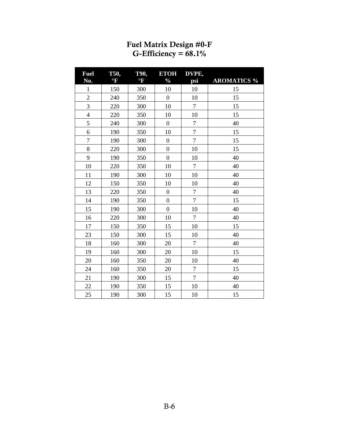<span id="page-7-0"></span>

| <b>Fuel</b>    | <b>T50,</b>     | T90,        | <b>ETOH</b>      | DVPE,          |                    |
|----------------|-----------------|-------------|------------------|----------------|--------------------|
| No.            | $\rm ^{\circ}F$ | $\rm ^{o}F$ | $\frac{0}{0}$    | psi            | <b>AROMATICS %</b> |
| $\mathbf{1}$   | 150             | 300         | 10               | 10             | 15                 |
| $\overline{c}$ | 240             | 350         | $\boldsymbol{0}$ | 10             | 15                 |
| 3              | 220             | 300         | 10               | $\overline{7}$ | 15                 |
| $\overline{4}$ | 220             | 350         | 10               | 10             | 15                 |
| 5              | 240             | 300         | $\boldsymbol{0}$ | $\overline{7}$ | 40                 |
| 6              | 190             | 350         | 10               | $\overline{7}$ | 15                 |
| 7              | 190             | 300         | $\boldsymbol{0}$ | $\tau$         | 15                 |
| 8              | 220             | 300         | $\boldsymbol{0}$ | 10             | 15                 |
| 9              | 190             | 350         | $\overline{0}$   | 10             | 40                 |
| 10             | 220             | 350         | 10               | $\overline{7}$ | 40                 |
| 11             | 190             | 300         | 10               | 10             | 40                 |
| 12             | 150             | 350         | 10               | 10             | 40                 |
| 13             | 220             | 350         | $\boldsymbol{0}$ | $\tau$         | 40                 |
| 14             | 190             | 350         | $\boldsymbol{0}$ | $\overline{7}$ | 15                 |
| 15             | 190             | 300         | $\overline{0}$   | 10             | 40                 |
| 16             | 220             | 300         | 10               | $\overline{7}$ | 40                 |
| 17             | 150             | 350         | 15               | 10             | 15                 |
| 23             | 150             | 300         | 15               | 10             | 40                 |
| 18             | 160             | 300         | 20               | $\overline{7}$ | 40                 |
| 19             | 160             | 300         | 20               | 10             | 15                 |
| 20             | 160             | 350         | 20               | 10             | 40                 |
| 24             | 160             | 350         | 20               | $\overline{7}$ | 15                 |
| 21             | 190             | 300         | 15               | $\overline{7}$ | 40                 |
| 22             | 190             | 350         | 15               | 10             | 40                 |
| 25             | 190             | 300         | 15               | 10             | 15                 |

#### Fuel Matrix Design #0-F G-Efficiency =  $68.1\%$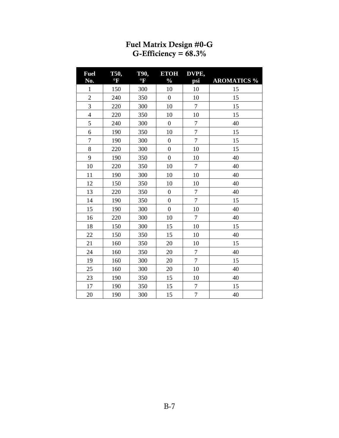<span id="page-8-0"></span>

| <b>Fuel</b>    | T50,                 | <b>T90,</b>          | <b>ETOH</b>      | DVPE,            |                    |
|----------------|----------------------|----------------------|------------------|------------------|--------------------|
| No.            | $\mathrm{^{\circ}F}$ | $\mathrm{^{\circ}F}$ | $\frac{0}{0}$    | psi              | <b>AROMATICS %</b> |
| $\mathbf{1}$   | 150                  | 300                  | 10               | 10               | 15                 |
| $\overline{c}$ | 240                  | 350                  | $\overline{0}$   | 10               | 15                 |
| $\overline{3}$ | 220                  | 300                  | 10               | $\overline{7}$   | 15                 |
| $\overline{4}$ | 220                  | 350                  | 10               | 10               | 15                 |
| 5              | 240                  | 300                  | $\overline{0}$   | $\sqrt{ }$       | 40                 |
| 6              | 190                  | 350                  | 10               | $\overline{7}$   | 15                 |
| $\overline{7}$ | 190                  | 300                  | $\boldsymbol{0}$ | $\tau$           | 15                 |
| 8              | 220                  | 300                  | $\overline{0}$   | 10               | 15                 |
| 9              | 190                  | 350                  | $\overline{0}$   | 10               | 40                 |
| 10             | 220                  | 350                  | 10               | $\overline{7}$   | 40                 |
| 11             | 190                  | 300                  | 10               | 10               | 40                 |
| 12             | 150                  | 350                  | 10               | 10               | 40                 |
| 13             | 220                  | 350                  | $\boldsymbol{0}$ | $\boldsymbol{7}$ | 40                 |
| 14             | 190                  | 350                  | $\overline{0}$   | $\boldsymbol{7}$ | 15                 |
| 15             | 190                  | 300                  | $\overline{0}$   | 10               | 40                 |
| 16             | 220                  | 300                  | 10               | $\overline{7}$   | 40                 |
| 18             | 150                  | 300                  | 15               | 10               | 15                 |
| 22             | 150                  | 350                  | 15               | 10               | 40                 |
| 21             | 160                  | 350                  | 20               | 10               | 15                 |
| 24             | 160                  | 350                  | 20               | $\overline{7}$   | 40                 |
| 19             | 160                  | 300                  | 20               | $\tau$           | 15                 |
| 25             | 160                  | 300                  | 20               | 10               | 40                 |
| 23             | 190                  | 350                  | 15               | 10               | 40                 |
| 17             | 190                  | 350                  | 15               | $\overline{7}$   | 15                 |
| 20             | 190                  | 300                  | 15               | $\overline{7}$   | 40                 |

#### Fuel Matrix Design #0-G G-Efficiency =  $68.3\%$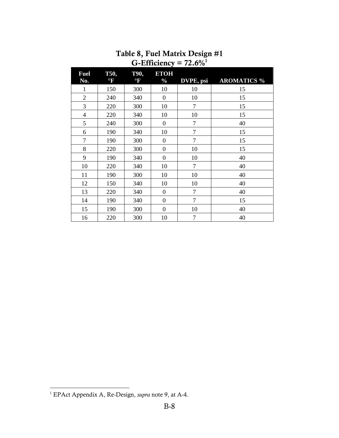<span id="page-9-0"></span>

| <b>Fuel</b><br>No. | T50,<br>$\mathrm{P}$ | T90,<br>$\mathrm{P}$ | <b>ETOH</b><br>$\frac{0}{0}$ | DVPE, psi      | <b>AROMATICS %</b> |
|--------------------|----------------------|----------------------|------------------------------|----------------|--------------------|
| 1                  | 150                  | 300                  | 10                           | 10             | 15                 |
| $\overline{2}$     | 240                  | 340                  | $\boldsymbol{0}$             | 10             | 15                 |
| 3                  | 220                  | 300                  | 10                           | $\overline{7}$ | 15                 |
| $\overline{4}$     | 220                  | 340                  | 10                           | 10             | 15                 |
| 5                  | 240                  | 300                  | $\boldsymbol{0}$             | $\overline{7}$ | 40                 |
| 6                  | 190                  | 340                  | 10                           | 7              | 15                 |
| 7                  | 190                  | 300                  | $\boldsymbol{0}$             | $\tau$         | 15                 |
| 8                  | 220                  | 300                  | $\overline{0}$               | 10             | 15                 |
| 9                  | 190                  | 340                  | $\overline{0}$               | 10             | 40                 |
| 10                 | 220                  | 340                  | 10                           | $\overline{7}$ | 40                 |
| 11                 | 190                  | 300                  | 10                           | 10             | 40                 |
| 12                 | 150                  | 340                  | 10                           | 10             | 40                 |
| 13                 | 220                  | 340                  | $\boldsymbol{0}$             | $\overline{7}$ | 40                 |
| 14                 | 190                  | 340                  | $\boldsymbol{0}$             | $\overline{7}$ | 15                 |
| 15                 | 190                  | 300                  | $\overline{0}$               | 10             | 40                 |
| 16                 | 220                  | 300                  | 10                           | $\overline{7}$ | 40                 |

#### Table 8, Fuel Matrix Design #1 G-Efficiency =  $72.6\%$ <sup>1</sup>

 $\overline{a}$ 

<sup>1</sup> EPAct Appendix A, Re-Design, *supra* note 9, at A-4.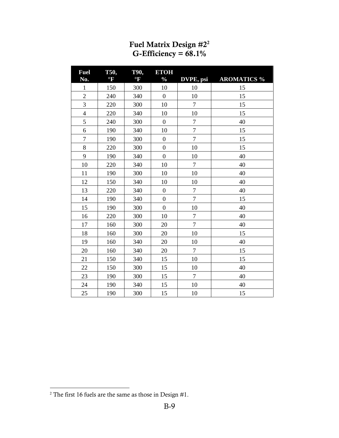<span id="page-10-0"></span>

| <b>Fuel</b><br>No. | T50,<br>$\mathrm{^{o}F}$ | T90,<br>$\mathrm{^{\circ}F}$ | <b>ETOH</b><br>$\frac{0}{0}$ | DVPE, psi        | <b>AROMATICS %</b> |
|--------------------|--------------------------|------------------------------|------------------------------|------------------|--------------------|
| $\mathbf{1}$       | 150                      | 300                          | 10                           | 10               | 15                 |
| $\mathbf{2}$       | 240                      | 340                          | $\boldsymbol{0}$             | 10               | 15                 |
| 3                  | 220                      | 300                          | 10                           | $\boldsymbol{7}$ | 15                 |
| $\overline{4}$     | 220                      | 340                          | 10                           | 10               | 15                 |
| 5                  | 240                      | 300                          | $\boldsymbol{0}$             | $\sqrt{ }$       | 40                 |
| 6                  | 190                      | 340                          | 10                           | $\tau$           | 15                 |
| $\overline{7}$     | 190                      | 300                          | $\boldsymbol{0}$             | $\tau$           | 15                 |
| 8                  | 220                      | 300                          | $\boldsymbol{0}$             | 10               | 15                 |
| 9                  | 190                      | 340                          | $\overline{0}$               | 10               | 40                 |
| 10                 | 220                      | 340                          | 10                           | $\tau$           | 40                 |
| 11                 | 190                      | 300                          | 10                           | 10               | 40                 |
| 12                 | 150                      | 340                          | 10                           | 10               | 40                 |
| 13                 | 220                      | 340                          | $\boldsymbol{0}$             | $\boldsymbol{7}$ | 40                 |
| 14                 | 190                      | 340                          | $\overline{0}$               | $\overline{7}$   | 15                 |
| 15                 | 190                      | 300                          | $\overline{0}$               | 10               | 40                 |
| 16                 | 220                      | 300                          | 10                           | $\overline{7}$   | 40                 |
| 17                 | 160                      | 300                          | 20                           | $\tau$           | 40                 |
| 18                 | 160                      | 300                          | 20                           | 10               | 15                 |
| 19                 | 160                      | 340                          | 20                           | 10               | 40                 |
| 20                 | 160                      | 340                          | 20                           | $\overline{7}$   | 15                 |
| 21                 | 150                      | 340                          | 15                           | 10               | 15                 |
| 22                 | 150                      | 300                          | 15                           | 10               | 40                 |
| 23                 | 190                      | 300                          | 15                           | $\tau$           | 40                 |
| 24                 | 190                      | 340                          | 15                           | 10               | 40                 |
| 25                 | 190                      | 300                          | 15                           | 10               | 15                 |

#### Fuel Matrix Design  $\#2^2$ G-Efficiency =  $68.1\%$

 $\overline{a}$ 

The first 16 fuels are the same as those in Design #1.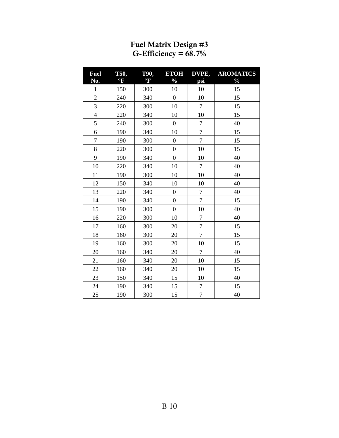<span id="page-11-0"></span>

| <b>Fuel</b>    | T50,                 | <b>T90,</b>             | <b>ETOH</b>      | DVPE,            | <b>AROMATICS</b> |
|----------------|----------------------|-------------------------|------------------|------------------|------------------|
| No.            | $\mathrm{^{\circ}F}$ | $\overline{\textbf{F}}$ | $\frac{0}{0}$    | psi              | $\frac{0}{0}$    |
| $\mathbf{1}$   | 150                  | 300                     | 10               | 10               | 15               |
| $\overline{2}$ | 240                  | 340                     | $\boldsymbol{0}$ | 10               | 15               |
| 3              | 220                  | 300                     | 10               | $\overline{7}$   | 15               |
| $\overline{4}$ | 220                  | 340                     | 10               | 10               | 15               |
| 5              | 240                  | 300                     | $\boldsymbol{0}$ | $\boldsymbol{7}$ | 40               |
| 6              | 190                  | 340                     | 10               | $\overline{7}$   | 15               |
| $\overline{7}$ | 190                  | 300                     | $\boldsymbol{0}$ | $\overline{7}$   | 15               |
| $8\,$          | 220                  | 300                     | $\overline{0}$   | 10               | 15               |
| 9              | 190                  | 340                     | $\boldsymbol{0}$ | 10               | 40               |
| 10             | 220                  | 340                     | 10               | $\overline{7}$   | 40               |
| 11             | 190                  | 300                     | 10               | 10               | 40               |
| 12             | 150                  | 340                     | 10               | 10               | 40               |
| 13             | 220                  | 340                     | $\overline{0}$   | $\boldsymbol{7}$ | 40               |
| 14             | 190                  | 340                     | $\boldsymbol{0}$ | $\overline{7}$   | 15               |
| 15             | 190                  | 300                     | $\overline{0}$   | 10               | 40               |
| 16             | 220                  | 300                     | 10               | $\overline{7}$   | 40               |
| 17             | 160                  | 300                     | 20               | $\overline{7}$   | 15               |
| 18             | 160                  | 300                     | 20               | $\overline{7}$   | 15               |
| 19             | 160                  | 300                     | 20               | 10               | 15               |
| 20             | 160                  | 340                     | 20               | $\overline{7}$   | 40               |
| 21             | 160                  | 340                     | 20               | 10               | 15               |
| 22             | 160                  | 340                     | 20               | 10               | 15               |
| 23             | 150                  | 340                     | 15               | 10               | 40               |
| 24             | 190                  | 340                     | 15               | $\boldsymbol{7}$ | 15               |
| 25             | 190                  | 300                     | 15               | $\overline{7}$   | 40               |

#### Fuel Matrix Design #3 G-Efficiency =  $68.7\%$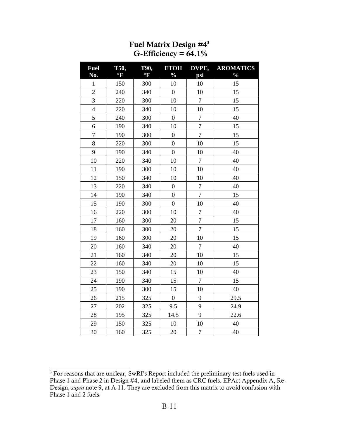<span id="page-12-0"></span>

| <b>Fuel</b><br>No. | T50,<br>$\mathrm{P}$ | <b>T90,</b><br>$\rm ^{o}F$ | <b>ETOH</b><br>$\frac{0}{0}$ | DVPE,<br>psi     | <b>AROMATICS</b><br>$\frac{0}{0}$ |
|--------------------|----------------------|----------------------------|------------------------------|------------------|-----------------------------------|
| $\mathbf{1}$       | 150                  | 300                        | 10                           | 10               | 15                                |
| $\overline{c}$     | 240                  | 340                        | $\boldsymbol{0}$             | 10               | 15                                |
| $\overline{3}$     | 220                  | 300                        | 10                           | $\overline{7}$   | 15                                |
| $\overline{4}$     | 220                  | 340                        | 10                           | 10               | 15                                |
| 5                  | 240                  | 300                        | $\boldsymbol{0}$             | $\overline{7}$   | 40                                |
| 6                  | 190                  | 340                        | 10                           | $\overline{7}$   | 15                                |
| $\overline{7}$     | 190                  | 300                        | $\overline{0}$               | $\overline{7}$   | 15                                |
| 8                  | 220                  | 300                        | $\overline{0}$               | 10               | 15                                |
| 9                  | 190                  | 340                        | $\overline{0}$               | 10               | 40                                |
| 10                 | 220                  | 340                        | 10                           | $\overline{7}$   | 40                                |
| 11                 | 190                  | 300                        | 10                           | 10               | 40                                |
| 12                 | 150                  | 340                        | 10                           | 10               | 40                                |
| 13                 | 220                  | 340                        | $\overline{0}$               | $\overline{7}$   | 40                                |
| 14                 | 190                  | 340                        | $\overline{0}$               | $\overline{7}$   | 15                                |
| 15                 | 190                  | 300                        | $\overline{0}$               | 10               | 40                                |
| 16                 | 220                  | 300                        | 10                           | $\overline{7}$   | 40                                |
| 17                 | 160                  | 300                        | 20                           | $\overline{7}$   | 15                                |
| 18                 | 160                  | 300                        | 20                           | $\overline{7}$   | 15                                |
| 19                 | 160                  | 300                        | 20                           | 10               | 15                                |
| 20                 | 160                  | 340                        | 20                           | $\boldsymbol{7}$ | 40                                |
| 21                 | 160                  | 340                        | 20                           | 10               | 15                                |
| 22                 | 160                  | 340                        | 20                           | 10               | 15                                |
| 23                 | 150                  | 340                        | 15                           | 10               | 40                                |
| 24                 | 190                  | 340                        | 15                           | $\tau$           | 15                                |
| 25                 | 190                  | 300                        | 15                           | 10               | 40                                |
| 26                 | 215                  | 325                        | $\boldsymbol{0}$             | 9                | 29.5                              |
| 27                 | 202                  | 325                        | 9.5                          | 9                | 24.9                              |
| 28                 | 195                  | 325                        | 14.5                         | 9                | 22.6                              |
| 29                 | 150                  | 325                        | 10                           | 10               | 40                                |
| 30                 | 160                  | 325                        | 20                           | $\boldsymbol{7}$ | 40                                |

### Fuel Matrix Design #4<sup>3</sup> G-Efficiency =  $64.1\%$

 $\overline{a}$ 

 For reasons that are unclear, SwRI's Report included the preliminary test fuels used in Phase 1 and Phase 2 in Design #4, and labeled them as CRC fuels. EPAct Appendix A, Re-Design, *supra* note 9, at A-11. They are excluded from this matrix to avoid confusion with Phase 1 and 2 fuels.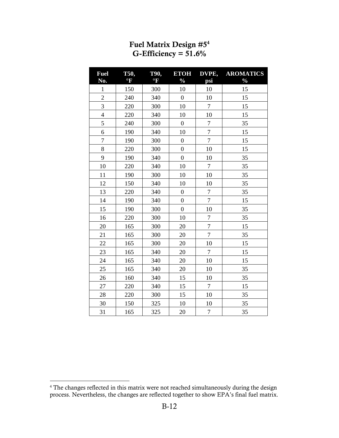<span id="page-13-0"></span>

| <b>Fuel</b><br>No.       | T50,<br>$\mathrm{^{o}F}$ | <b>T90,</b><br>$^{\circ}$ F | <b>ETOH</b><br>$\frac{0}{0}$ | DVPE,<br>psi     | <b>AROMATICS</b><br>$\frac{1}{2}$ |
|--------------------------|--------------------------|-----------------------------|------------------------------|------------------|-----------------------------------|
| $\mathbf{1}$             | 150                      | 300                         | 10                           | 10               | 15                                |
| $\overline{2}$           | 240                      | 340                         | $\boldsymbol{0}$             | 10               | 15                                |
| $\overline{3}$           | 220                      | 300                         | 10                           | $\tau$           | 15                                |
| $\overline{\mathcal{L}}$ | 220                      | 340                         | 10                           | 10               | 15                                |
| 5                        | 240                      | 300                         | $\boldsymbol{0}$             | $\boldsymbol{7}$ | 35                                |
| 6                        | 190                      | 340                         | 10                           | $\boldsymbol{7}$ | 15                                |
| $\overline{7}$           | 190                      | 300                         | $\boldsymbol{0}$             | $\boldsymbol{7}$ | 15                                |
| 8                        | 220                      | 300                         | $\boldsymbol{0}$             | 10               | 15                                |
| 9                        | 190                      | 340                         | $\boldsymbol{0}$             | 10               | 35                                |
| 10                       | 220                      | 340                         | 10                           | $\tau$           | 35                                |
| 11                       | 190                      | 300                         | 10                           | 10               | 35                                |
| 12                       | 150                      | 340                         | 10                           | 10               | 35                                |
| 13                       | 220                      | 340                         | $\boldsymbol{0}$             | $\tau$           | 35                                |
| 14                       | 190                      | 340                         | $\boldsymbol{0}$             | $\boldsymbol{7}$ | 15                                |
| 15                       | 190                      | 300                         | $\overline{0}$               | 10               | 35                                |
| 16                       | 220                      | 300                         | 10                           | $\boldsymbol{7}$ | 35                                |
| 20                       | 165                      | 300                         | 20                           | $\boldsymbol{7}$ | 15                                |
| 21                       | 165                      | 300                         | 20                           | $\overline{7}$   | 35                                |
| 22                       | 165                      | 300                         | 20                           | 10               | 15                                |
| 23                       | 165                      | 340                         | 20                           | $\tau$           | 15                                |
| 24                       | 165                      | 340                         | 20                           | 10               | 15                                |
| 25                       | 165                      | 340                         | 20                           | 10               | 35                                |
| 26                       | 160                      | 340                         | 15                           | 10               | 35                                |
| 27                       | 220                      | 340                         | 15                           | 7                | 15                                |
| 28                       | 220                      | 300                         | 15                           | 10               | 35                                |
| 30                       | 150                      | 325                         | 10                           | 10               | 35                                |
| 31                       | 165                      | 325                         | 20                           | $\boldsymbol{7}$ | 35                                |

#### Fuel Matrix Design #5<sup>4</sup> G-Efficiency =  $51.6\%$

 4 The changes reflected in this matrix were not reached simultaneously during the design process. Nevertheless, the changes are reflected together to show EPA's final fuel matrix.